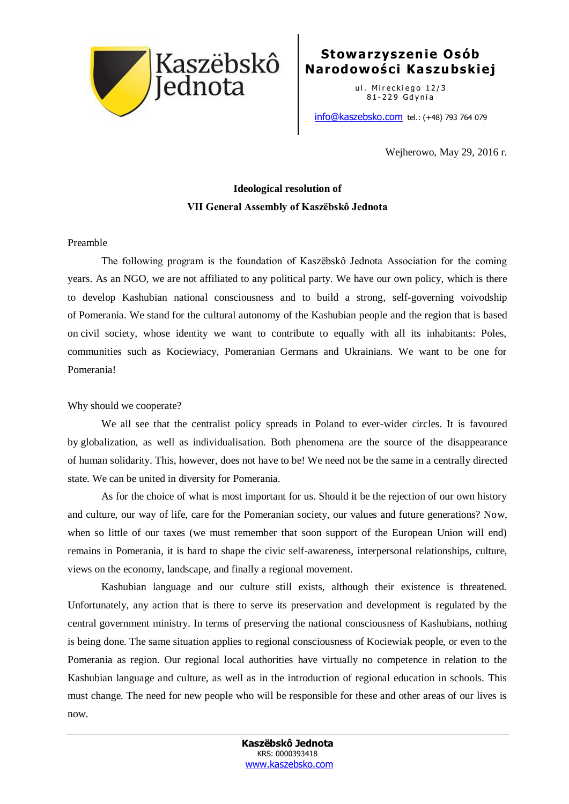

# **Stowarzyszenie Osób Narodowości Kaszubskiej**

ul. Mireckiego 12/3 8 1 - 2 2 9 G d y n i a

[info@kaszebsko.com](mailto:info@kaszebsko.com) tel.: (+48) 793 764 079

Wejherowo, May 29, 2016 r.

### **Ideological resolution of VII General Assembly of Kaszëbskô Jednota**

#### Preamble

The following program is the foundation of Kaszëbskô Jednota Association for the coming years. As an NGO, we are not affiliated to any political party. We have our own policy, which is there to develop Kashubian national consciousness and to build a strong, self-governing voivodship of Pomerania. We stand for the cultural autonomy of the Kashubian people and the region that is based on civil society, whose identity we want to contribute to equally with all its inhabitants: Poles, communities such as Kociewiacy, Pomeranian Germans and Ukrainians. We want to be one for Pomerania!

### Why should we cooperate?

We all see that the centralist policy spreads in Poland to ever-wider circles. It is favoured by globalization, as well as individualisation. Both phenomena are the source of the disappearance of human solidarity. This, however, does not have to be! We need not be the same in a centrally directed state. We can be united in diversity for Pomerania.

As for the choice of what is most important for us. Should it be the rejection of our own history and culture, our way of life, care for the Pomeranian society, our values and future generations? Now, when so little of our taxes (we must remember that soon support of the European Union will end) remains in Pomerania, it is hard to shape the civic self-awareness, interpersonal relationships, culture, views on the economy, landscape, and finally a regional movement.

Kashubian language and our culture still exists, although their existence is threatened. Unfortunately, any action that is there to serve its preservation and development is regulated by the central government ministry. In terms of preserving the national consciousness of Kashubians, nothing is being done. The same situation applies to regional consciousness of Kociewiak people, or even to the Pomerania as region. Our regional local authorities have virtually no competence in relation to the Kashubian language and culture, as well as in the introduction of regional education in schools. This must change. The need for new people who will be responsible for these and other areas of our lives is now.